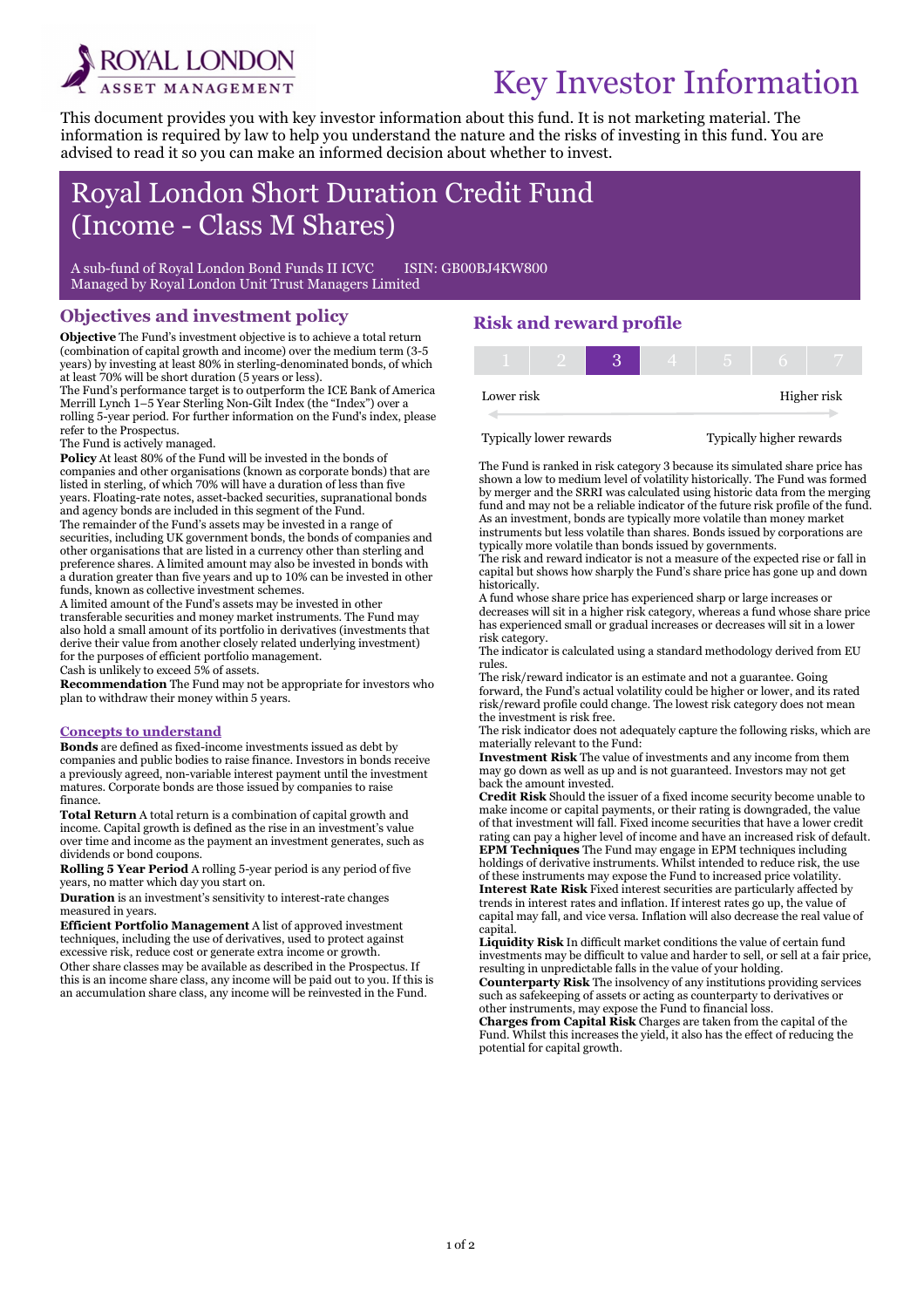

# Key Investor Information

This document provides you with key investor information about this fund. It is not marketing material. The information is required by law to help you understand the nature and the risks of investing in this fund. You are advised to read it so you can make an informed decision about whether to invest.

## Royal London Short Duration Credit Fund (Income - Class M Shares)

A sub-fund of Royal London Bond Funds II ICVC ISIN: GB00BJ4KW800 Managed by Royal London Unit Trust Managers Limited

#### Objectives and investment policy

Objective The Fund's investment objective is to achieve a total return (combination of capital growth and income) over the medium term (3-5 years) by investing at least 80% in sterling-denominated bonds, of which at least 70% will be short duration (5 years or less).

The Fund's performance target is to outperform the ICE Bank of America Merrill Lynch 1–5 Year Sterling Non-Gilt Index (the "Index") over a rolling 5-year period. For further information on the Fund's index, please refer to the Prospectus.

The Fund is actively managed.

i

Policy At least 80% of the Fund will be invested in the bonds of companies and other organisations (known as corporate bonds) that are listed in sterling, of which 70% will have a duration of less than five years. Floating-rate notes, asset-backed securities, supranational bonds and agency bonds are included in this segment of the Fund. The remainder of the Fund's assets may be invested in a range of securities, including UK government bonds, the bonds of companies and other organisations that are listed in a currency other than sterling and preference shares. A limited amount may also be invested in bonds with a duration greater than five years and up to 10% can be invested in other funds, known as collective investment schemes.

A limited amount of the Fund's assets may be invested in other transferable securities and money market instruments. The Fund may also hold a small amount of its portfolio in derivatives (investments that derive their value from another closely related underlying investment) for the purposes of efficient portfolio management.

Cash is unlikely to exceed 5% of assets.

Recommendation The Fund may not be appropriate for investors who plan to withdraw their money within 5 years.

#### Concepts to understand

Bonds are defined as fixed-income investments issued as debt by companies and public bodies to raise finance. Investors in bonds receive a previously agreed, non-variable interest payment until the investment matures. Corporate bonds are those issued by companies to raise finance.

Total Return A total return is a combination of capital growth and income. Capital growth is defined as the rise in an investment's value over time and income as the payment an investment generates, such as dividends or bond coupons.

Rolling 5 Year Period A rolling 5-year period is any period of five years, no matter which day you start on.

Duration is an investment's sensitivity to interest-rate changes measured in years.

Efficient Portfolio Management A list of approved investment techniques, including the use of derivatives, used to protect against excessive risk, reduce cost or generate extra income or growth.

Other share classes may be available as described in the Prospectus. If this is an income share class, any income will be paid out to you. If this is an accumulation share class, any income will be reinvested in the Fund.

### Risk and reward profile

| Lower risk |  |  |  | Higher risk |
|------------|--|--|--|-------------|

Typically lower rewards Typically higher rewards

The Fund is ranked in risk category 3 because its simulated share price has shown a low to medium level of volatility historically. The Fund was formed by merger and the SRRI was calculated using historic data from the merging fund and may not be a reliable indicator of the future risk profile of the fund. As an investment, bonds are typically more volatile than money market instruments but less volatile than shares. Bonds issued by corporations are typically more volatile than bonds issued by governments.

The risk and reward indicator is not a measure of the expected rise or fall in capital but shows how sharply the Fund's share price has gone up and down historically.

A fund whose share price has experienced sharp or large increases or decreases will sit in a higher risk category, whereas a fund whose share price has experienced small or gradual increases or decreases will sit in a lower risk category.

The indicator is calculated using a standard methodology derived from EU rules.

The risk/reward indicator is an estimate and not a guarantee. Going forward, the Fund's actual volatility could be higher or lower, and its rated risk/reward profile could change. The lowest risk category does not mean the investment is risk free.

The risk indicator does not adequately capture the following risks, which are materially relevant to the Fund:

Investment Risk The value of investments and any income from them may go down as well as up and is not guaranteed. Investors may not get back the amount invested.

Credit Risk Should the issuer of a fixed income security become unable to make income or capital payments, or their rating is downgraded, the value of that investment will fall. Fixed income securities that have a lower credit rating can pay a higher level of income and have an increased risk of default. EPM Techniques The Fund may engage in EPM techniques including holdings of derivative instruments. Whilst intended to reduce risk, the use of these instruments may expose the Fund to increased price volatility. Interest Rate Risk Fixed interest securities are particularly affected by trends in interest rates and inflation. If interest rates go up, the value of capital may fall, and vice versa. Inflation will also decrease the real value of capital.

Liquidity Risk In difficult market conditions the value of certain fund investments may be difficult to value and harder to sell, or sell at a fair price, resulting in unpredictable falls in the value of your holding.

Counterparty Risk The insolvency of any institutions providing services such as safekeeping of assets or acting as counterparty to derivatives or other instruments, may expose the Fund to financial loss.

Charges from Capital Risk Charges are taken from the capital of the Fund. Whilst this increases the yield, it also has the effect of reducing the potential for capital growth.